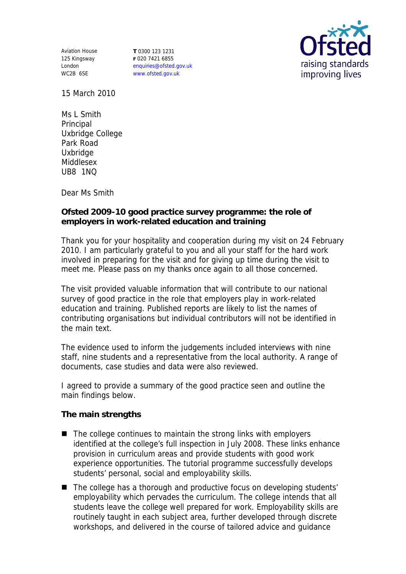Aviation House 125 Kingsway London WC2B 6SE

**T** 0300 123 1231 **F** 020 7421 6855 enquiries@ofsted.gov.uk www.ofsted.gov.uk



15 March 2010

Ms L Smith Principal Uxbridge College Park Road Uxbridge Middlesex UB8 1NQ

Dear Ms Smith

**Ofsted 2009-10 good practice survey programme: the role of employers in work-related education and training**

Thank you for your hospitality and cooperation during my visit on 24 February 2010. I am particularly grateful to you and all your staff for the hard work involved in preparing for the visit and for giving up time during the visit to meet me. Please pass on my thanks once again to all those concerned.

The visit provided valuable information that will contribute to our national survey of good practice in the role that employers play in work-related education and training. Published reports are likely to list the names of contributing organisations but individual contributors will not be identified in the main text.

The evidence used to inform the judgements included interviews with nine staff, nine students and a representative from the local authority. A range of documents, case studies and data were also reviewed.

I agreed to provide a summary of the good practice seen and outline the main findings below.

**The main strengths**

- $\blacksquare$  The college continues to maintain the strong links with employers identified at the college's full inspection in July 2008. These links enhance provision in curriculum areas and provide students with good work experience opportunities. The tutorial programme successfully develops students' personal, social and employability skills.
- The college has a thorough and productive focus on developing students' employability which pervades the curriculum. The college intends that all students leave the college well prepared for work. Employability skills are routinely taught in each subject area, further developed through discrete workshops, and delivered in the course of tailored advice and guidance